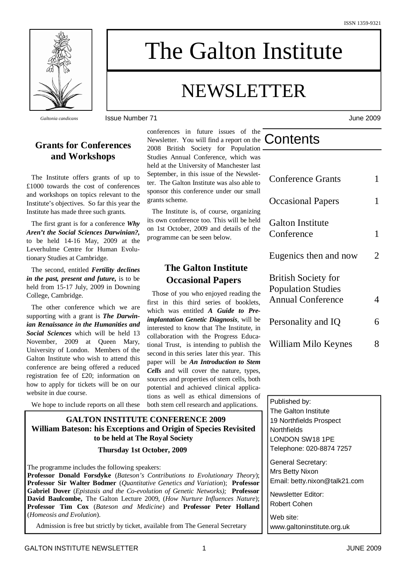

*Galtonia candicans* Issue Number 71 June 2009

# **Grants for Conferences and Workshops**

The Institute offers grants of up to £1000 towards the cost of conferences and workshops on topics relevant to the Institute's objectives. So far this year the Institute has made three such grants.

The first grant is for a conference *Why Aren't the Social Sciences Darwinian?,* to be held 14-16 May, 2009 at the Leverhulme Centre for Human Evolutionary Studies at Cambridge.

The second, entitled *Fertility declines in the past, present and future,* is to be held from 15-17 July, 2009 in Downing College, Cambridge.

The other conference which we are supporting with a grant is *The Darwinian Renaissance in the Humanities and Social Sciences* which will be held 13 November, 2009 at Queen Mary, University of London. Members of the Galton Institute who wish to attend this conference are being offered a reduced registration fee of £20; information on how to apply for tickets will be on our website in due course.

We hope to include reports on all these

conferences in future issues of the Newsletter. You will find a report on the 2008 British Society for Population Studies Annual Conference, which was held at the University of Manchester last September, in this issue of the Newslet-

The Galton Institute

NEWSLETTER

ter. The Galton Institute was also able to sponsor this conference under our small grants scheme.

The Institute is, of course, organizing its own conference too. This will be held on 1st October, 2009 and details of the programme can be seen below.

# **The Galton Institute Occasional Papers**

Those of you who enjoyed reading the first in this third series of booklets, which was entitled *A Guide to Preimplantation Genetic Diagnosis*, will be interested to know that The Institute, in collaboration with the Progress Educational Trust, is intending to publish the second in this series later this year. This paper will be *An Introduction to Stem Cells* and will cover the nature, types, sources and properties of stem cells, both potential and achieved clinical applications as well as ethical dimensions of both stem cell research and applications.

# **GALTON INSTITUTE CONFERENCE 2009 William Bateson: his Exceptions and Origin of Species Revisited to be held at The Royal Society**

#### **Thursday 1st October, 2009**

The programme includes the following speakers:

**Professor Donald Forsdyke** (*Bateson's Contributions to Evolutionary Theory*); **Professor Sir Walter Bodmer** (*Quantitative Genetics and Variation*); **Professor Gabriel Dover** (*Epistasis and the Co-evolution of Genetic Networks);* **Professor David Baulcombe,** The Galton Lecture 2009, (*How Nurture Influences Nature*); **Professor Tim Cox** (*Bateson and Medicine*) and **Professor Peter Holland** (*Homeosis and Evolution*).

Admission is free but strictly by ticket, available from The General Secretary

| Contents |  |
|----------|--|
|          |  |
|          |  |

| <b>Conference Grants</b>                                                            | 1 |
|-------------------------------------------------------------------------------------|---|
| <b>Occasional Papers</b>                                                            | 1 |
| <b>Galton Institute</b><br>Conference                                               | 1 |
| Eugenics then and now                                                               | 2 |
| <b>British Society for</b><br><b>Population Studies</b><br><b>Annual Conference</b> | 4 |
| Personality and IQ                                                                  | б |
| William Milo Keynes                                                                 | 8 |

Published by: The Galton Institute 19 Northfields Prospect **Northfields** LONDON SW18 1PE Telephone: 020-8874 7257

General Secretary: Mrs Betty Nixon Email: betty.nixon@talk21.com

Newsletter Editor: Robert Cohen

Web site: www.galtoninstitute.org.uk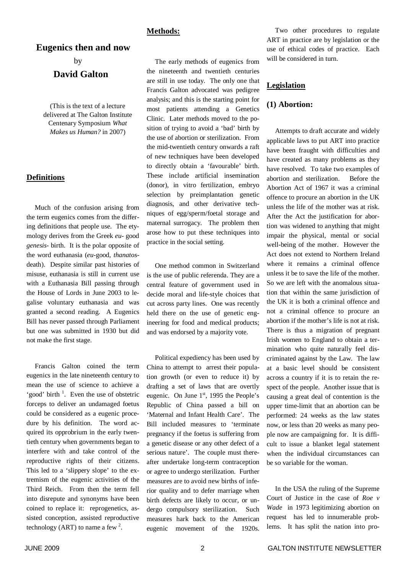#### **Methods:**

## **Eugenics then and now**

by

## **David Galton**

(This is the text of a lecture delivered at The Galton Institute Centenary Symposium *What Makes us Human?* in 2007)

#### **Definitions**

Much of the confusion arising from the term eugenics comes from the differing definitions that people use. The etymology derives from the Greek *eu-* good *genesis-* birth. It is the polar opposite of the word euthanasia (*eu-*good*, thanatos*death). Despite similar past histories of misuse, euthanasia is still in current use with a Euthanasia Bill passing through the House of Lords in June 2003 to legalise voluntary euthanasia and was granted a second reading. A Eugenics Bill has never passed through Parliament but one was submitted in 1930 but did not make the first stage.

Francis Galton coined the term eugenics in the late nineteenth century to mean the use of science to achieve a 'good' birth<sup>1</sup>. Even the use of obstetric forceps to deliver an undamaged foetus could be considered as a eugenic procedure by his definition. The word acquired its opprobrium in the early twentieth century when governments began to interfere with and take control of the reproductive rights of their citizens. This led to a 'slippery slope' to the extremism of the eugenic activities of the Third Reich. From then the term fell into disrepute and synonyms have been coined to replace it: reprogenetics, assisted conception, assisted reproductive technology (ART) to name a few  $2$ .

The early methods of eugenics from the nineteenth and twentieth centuries are still in use today. The only one that Francis Galton advocated was pedigree analysis; and this is the starting point for most patients attending a Genetics Clinic. Later methods moved to the position of trying to avoid a 'bad' birth by the use of abortion or sterilization. From the mid-twentieth century onwards a raft of new techniques have been developed to directly obtain a 'favourable' birth. These include artificial insemination (donor), in vitro fertilization, embryo selection by preimplantation genetic diagnosis, and other derivative techniques of egg/sperm/foetal storage and maternal surrogacy. The problem then arose how to put these techniques into practice in the social setting.

One method common in Switzerland is the use of public referenda. They are a central feature of government used in decide moral and life-style choices that cut across party lines. One was recently held there on the use of genetic engineering for food and medical products; and was endorsed by a majority vote.

Political expediency has been used by China to attempt to arrest their population growth (or even to reduce it) by drafting a set of laws that are overtly eugenic. On June  $1<sup>st</sup>$ , 1995 the People's Republic of China passed a bill on 'Maternal and Infant Health Care'. The Bill included measures to 'terminate pregnancy if the foetus is suffering from a genetic disease or any other defect of a serious nature'. The couple must thereafter undertake long-term contraception or agree to undergo sterilization. Further measures are to avoid new births of inferior quality and to defer marriage when birth defects are likely to occur, or undergo compulsory sterilization. Such measures hark back to the American eugenic movement of the 1920s.

Two other procedures to regulate ART in practice are by legislation or the use of ethical codes of practice. Each will be considered in turn.

## **Legislation**

#### **(1) Abortion:**

Attempts to draft accurate and widely applicable laws to put ART into practice have been fraught with difficulties and have created as many problems as they have resolved. To take two examples of abortion and sterilization. Before the Abortion Act of 1967 it was a criminal offence to procure an abortion in the UK unless the life of the mother was at risk. After the Act the justification for abortion was widened to anything that might impair the physical, mental or social well-being of the mother. However the Act does not extend to Northern Ireland where it remains a criminal offence unless it be to save the life of the mother. So we are left with the anomalous situation that within the same jurisdiction of the UK it is both a criminal offence and not a criminal offence to procure an abortion if the mother's life is not at risk. There is thus a migration of pregnant Irish women to England to obtain a termination who quite naturally feel discriminated against by the Law. The law at a basic level should be consistent across a country if it is to retain the respect of the people. Another issue that is causing a great deal of contention is the upper time-limit that an abortion can be performed: 24 weeks as the law states now, or less than 20 weeks as many people now are campaigning for. It is difficult to issue a blanket legal statement when the individual circumstances can be so variable for the woman.

In the USA the ruling of the Supreme Court of Justice in the case of *Roe v Wade* in 1973 legitimizing abortion on request has led to innumerable problems. It has split the nation into pro-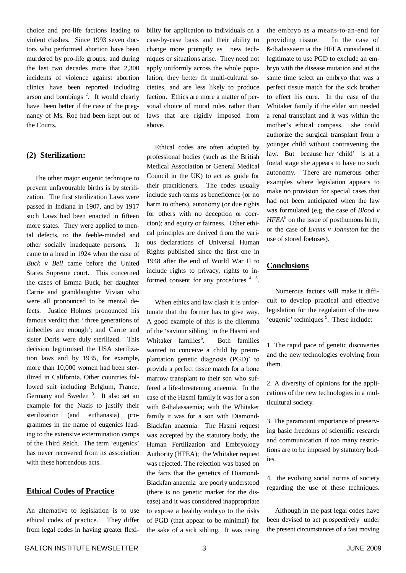choice and pro-life factions leading to violent clashes. Since 1993 seven doctors who performed abortion have been murdered by pro-life groups; and during the last two decades more that 2,300 incidents of violence against abortion clinics have been reported including arson and bombings 2 . It would clearly have been better if the case of the pregnancy of Ms. Roe had been kept out of the Courts.

### **(2) Sterilization:**

The other major eugenic technique to prevent unfavourable births is by sterilization. The first sterilization Laws were passed in Indiana in 1907, and by 1917 such Laws had been enacted in fifteen more states. They were applied to mental defects, to the feeble-minded and other socially inadequate persons. It came to a head in 1924 when the case of *Buck v Bell* came before the United States Supreme court. This concerned the cases of Emma Buck, her daughter Carrie and granddaughter Vivian who were all pronounced to be mental defects. Justice Holmes pronounced his famous verdict that ' three generations of imbeciles are enough'; and Carrie and sister Doris were duly sterilized. This decision legitimised the USA sterilization laws and by 1935, for example, more than 10,000 women had been sterilized in California. Other countries followed suit including Belgium, France, Germany and Sweden<sup>3</sup>. It also set an example for the Nazis to justify their sterilization (and euthanasia) programmes in the name of eugenics leading to the extensive extermination camps of the Third Reich. The term 'eugenics' has never recovered from its association with these horrendous acts.

### **Ethical Codes of Practice**

An alternative to legislation is to use ethical codes of practice. They differ from legal codes in having greater flexibility for application to individuals on a case-by-case basis and their ability to change more promptly as new techniques or situations arise. They need not apply uniformly across the whole population, they better fit multi-cultural societies, and are less likely to produce faction. Ethics are more a matter of personal choice of moral rules rather than laws that are rigidly imposed from above.

Ethical codes are often adopted by professional bodies (such as the British Medical Association or General Medical Council in the UK) to act as guide for their practitioners. The codes usually include such terms as beneficence (or no harm to others), autonomy (or due rights for others with no deception or coercion); and equity or fairness. Other ethical principles are derived from the various declarations of Universal Human Rights published since the first one in 1948 after the end of World War II to include rights to privacy, rights to informed consent for any procedures <sup>4, 5</sup>.

When ethics and law clash it is unfortunate that the former has to give way. A good example of this is the dilemma of the 'saviour sibling' in the Hasmi and Whitaker families 6 . Both families wanted to conceive a child by preimplantation genetic diagnosis (PGD)<sup>7</sup> to provide a perfect tissue match for a bone marrow transplant to their son who suffered a life-threatening anaemia. In the case of the Hasmi family it was for a son with ß-thalassaemia; with the Whitaker family it was for a son with Diamond-Blackfan anaemia. The Hasmi request was accepted by the statutory body, the Human Fertilization and Embryology Authority (HFEA); the Whitaker request was rejected. The rejection was based on the facts that the genetics of Diamond-Blackfan anaemia are poorly understood (there is no genetic marker for the disease) and it was considered inappropriate to expose a healthy embryo to the risks of PGD (that appear to be minimal) for the sake of a sick sibling. It was using the embryo as a means-to-an-end for providing tissue. In the case of ß-thalassaemia the HFEA considered it legitimate to use PGD to exclude an embryo with the disease mutation and at the same time select an embryo that was a perfect tissue match for the sick brother to effect his cure. In the case of the Whitaker family if the elder son needed a renal transplant and it was within the mother's ethical compass, she could authorize the surgical transplant from a younger child without contravening the law. But because her 'child' is at a foetal stage she appears to have no such autonomy. There are numerous other examples where legislation appears to make no provision for special cases that had not been anticipated when the law was formulated (e.g. the case of *Blood v HFEA* 8 on the issue of posthumous birth, or the case of *Evans v Johnston* for the use of stored foetuses).

#### **Conclusions**

Numerous factors will make it difficult to develop practical and effective legislation for the regulation of the new 'eugenic' techniques<sup>9</sup>. These include:

1. The rapid pace of genetic discoveries and the new technologies evolving from them.

2. A diversity of opinions for the applications of the new technologies in a multicultural society.

3. The paramount importance of preserving basic freedoms of scientific research and communication if too many restrictions are to be imposed by statutory bodies.

4. the evolving social norms of society regarding the use of these techniques.

Although in the past legal codes have been devised to act prospectively under the present circumstances of a fast moving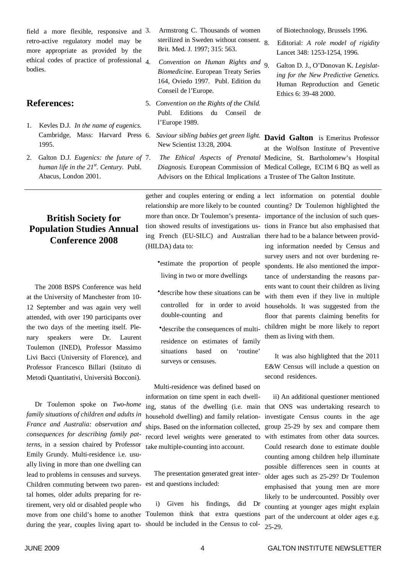field a more flexible, responsive and 3. retro-active regulatory model may be more appropriate as provided by the ethical codes of practice of professional bodies.

## **References:**

- 1. Kevles D.J. *In the name of eugenics.* 1995.
- 2. Galton D.J. *Eugenics: the future of human life in the 21 st . Century.* Publ. Abacus, London 2001.

# **British Society for Population Studies Annual Conference 2008**

The 2008 BSPS Conference was held at the University of Manchester from 10- 12 September and was again very well attended, with over 190 participants over the two days of the meeting itself. Plenary speakers were Dr. Laurent Toulemon (INED), Professor Massimo Livi Bacci (University of Florence), and Professor Francesco Billari (Istituto di Metodi Quantitativi, Università Bocconi).

Dr Toulemon spoke on *Two-home family situations of children and adults in France and Australia: observation and consequences for describing family patterns*, in a session chaired by Professor Emily Grundy. Multi-residence i.e. usually living in more than one dwelling can lead to problems in censuses and surveys. Children commuting between two paren-est and questions included: tal homes, older adults preparing for retirement, very old or disabled people who move from one child's home to another during the year, couples living apart to-

- Armstrong C. Thousands of women sterilized in Sweden without consent. 8 Brit. Med. J. 1997; 315: 563.
- 4. *Convention on Human Rights and Biomedicine.* European Treaty Series 164, Oviedo 1997. Publ. Edition du Conseil de l'Europe.
- 5. *Convention on the Rights of the Child.* Publ. Editions du Conseil de l'Europe 1989.
- Cambridge, Mass: Harvard Press 6. *Saviour sibling babies get green light.* **David Galton** is Emeritus Professor New Scientist 13:28, 2004.
	- Advisors on the Ethical Implications a Trustee of The Galton Institute.

gether and couples entering or ending a lect information on potential double relationship are more likely to be counted counting? Dr Toulemon highlighted the more than once. Dr Toulemon's presenta-importance of the inclusion of such question showed results of investigations us-tions in France but also emphasised that ing French (EU-SILC) and Australian there had to be a balance between provid-(HILDA) data to:

- **·**estimate the proportion of people living in two or more dwellings
- **·**describe how these situations can be controlled for in order to avoid double-counting and
- **·**describe the consequences of multiresidence on estimates of family situations based on 'routine' surveys or censuses.

Multi-residence was defined based on information on time spent in each dwelling, status of the dwelling (i.e. main household dwelling) and family relationships. Based on the information collected, record level weights were generated to take multiple-counting into account.

The presentation generated great inter-

i) Given his findings, did Dr Toulemon think that extra questions should be included in the Census to colof Biotechnology, Brussels 1996*.*

8. Editorial: *A role model of rigidity* Lancet 348: 1253-1254, 1996.

9. Galton D. J., O'Donovan K. *Legislating for the New Predictive Genetics.* Human Reproduction and Genetic Ethics 6: 39-48 2000.

7. *The Ethical Aspects of Prenatal* Medicine, St. Bartholomew's Hospital *Diagnosis.* European Commission of Medical College, EC1M 6 BQ as well as at the Wolfson Institute of Preventive

> ing information needed by Census and survey users and not over burdening respondents. He also mentioned the importance of understanding the reasons parents want to count their children as living with them even if they live in multiple households. It was suggested from the floor that parents claiming benefits for children might be more likely to report them as living with them.

> It was also highlighted that the 2011 E&W Census will include a question on second residences.

ii) An additional questioner mentioned that ONS was undertaking research to investigate Census counts in the age group 25-29 by sex and compare them with estimates from other data sources. Could research done to estimate double counting among children help illuminate possible differences seen in counts at older ages such as 25-29? Dr Toulemon emphasised that young men are more likely to be undercounted. Possibly over counting at younger ages might explain part of the undercount at older ages e.g. 25-29.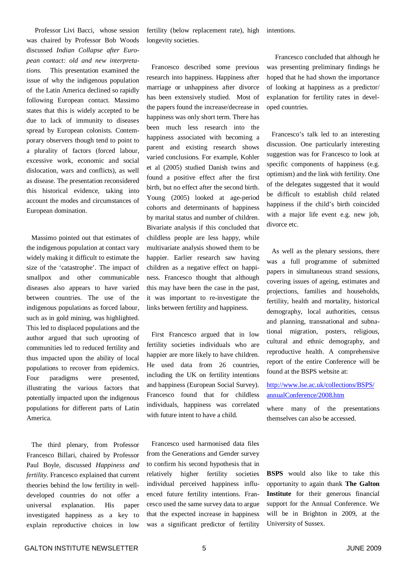Professor Livi Bacci, whose session was chaired by Professor Bob Woods discussed *Indian Collapse after European contact: old and new interpretations.* This presentation examined the issue of why the indigenous population of the Latin America declined so rapidly following European contact. Massimo states that this is widely accepted to be due to lack of immunity to diseases spread by European colonists. Contemporary observers though tend to point to a plurality of factors (forced labour, excessive work, economic and social dislocation, wars and conflicts), as well as disease. The presentation reconsidered this historical evidence, taking into account the modes and circumstances of European domination.

Massimo pointed out that estimates of the indigenous population at contact vary widely making it difficult to estimate the size of the 'catastrophe'. The impact of smallpox and other communicable diseases also appears to have varied between countries. The use of the indigenous populations as forced labour, such as in gold mining, was highlighted. This led to displaced populations and the author argued that such uprooting of communities led to reduced fertility and thus impacted upon the ability of local populations to recover from epidemics. Four paradigms were presented, illustrating the various factors that potentially impacted upon the indigenous populations for different parts of Latin America.

The third plenary, from Professor Francesco Billari, chaired by Professor Paul Boyle, discussed *Happiness and fertility.* Francesco explained that current theories behind the low fertility in welldeveloped countries do not offer a universal explanation. His paper investigated happiness as a key to explain reproductive choices in low

fertility (below replacement rate), high intentions. longevity societies.

Francesco described some previous research into happiness. Happiness after marriage or unhappiness after divorce has been extensively studied. Most of the papers found the increase/decrease in happiness was only short term. There has been much less research into the happiness associated with becoming a parent and existing research shows varied conclusions. For example, Kohler et al (2005) studied Danish twins and found a positive effect after the first birth, but no effect after the second birth. Young (2005) looked at age-period cohorts and determinants of happiness by marital status and number of children. Bivariate analysis if this concluded that childless people are less happy, while multivariate analysis showed them to be happier. Earlier research saw having children as a negative effect on happiness. Francesco thought that although this may have been the case in the past, it was important to re-investigate the links between fertility and happiness.

First Francesco argued that in low fertility societies individuals who are happier are more likely to have children. He used data from 26 countries, including the UK on fertility intentions and happiness (European Social Survey). Francesco found that for childless individuals, happiness was correlated with future intent to have a child.

Francesco used harmonised data files from the Generations and Gender survey to confirm his second hypothesis that in relatively higher fertility societies individual perceived happiness influenced future fertility intentions. Francesco used the same survey data to argue that the expected increase in happiness was a significant predictor of fertility

Francesco concluded that although he was presenting preliminary findings he hoped that he had shown the importance of looking at happiness as a predictor/ explanation for fertility rates in developed countries.

Francesco's talk led to an interesting discussion. One particularly interesting suggestion was for Francesco to look at specific components of happiness (e.g. optimism) and the link with fertility. One of the delegates suggested that it would be difficult to establish child related happiness if the child's birth coincided with a major life event e.g. new job, divorce etc.

As well as the plenary sessions, there was a full programme of submitted papers in simultaneous strand sessions, covering issues of ageing, estimates and projections, families and households, fertility, health and mortality, historical demography, local authorities, census and planning, transnational and subnational migration, posters, religious, cultural and ethnic demography, and reproductive health. A comprehensive report of the entire Conference will be found at the BSPS website at:

## http://www.lse.ac.uk/collections/BSPS/ annualConference/2008.htm

where many of the presentations themselves can also be accessed.

**BSPS** would also like to take this opportunity to again thank **The Galton Institute** for their generous financial support for the Annual Conference. We will be in Brighton in 2009, at the University of Sussex.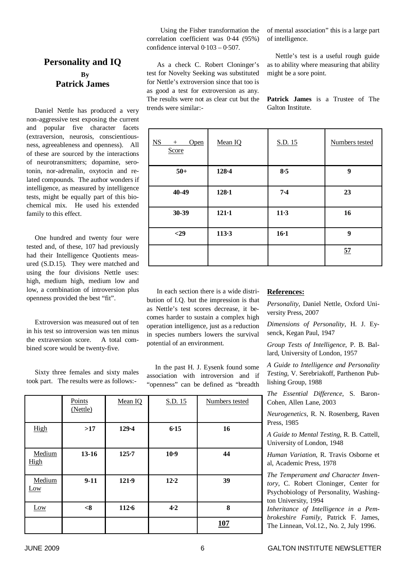# **Personality and IQ By Patrick James**

Daniel Nettle has produced a very non-aggressive test exposing the current and popular five character facets (extraversion, neurosis, conscientiousness, agreeableness and openness). All of these are sourced by the interactions of neurotransmitters; dopamine, serotonin, nor-adrenalin, oxytocin and related compounds. The author wonders if intelligence, as measured by intelligence tests, might be equally part of this biochemical mix. He used his extended family to this effect.

One hundred and twenty four were tested and, of these, 107 had previously had their Intelligence Quotients measured (S.D.15). They were matched and using the four divisions Nettle uses: high, medium high, medium low and low, a combination of introversion plus openness provided the best "fit".

Extroversion was measured out of ten in his test so introversion was ten minus the extraversion score. A total combined score would be twenty-five.

Sixty three females and sixty males took part. The results were as follows:-

Using the Fisher transformation the correlation coefficient was 0·44 (95%) confidence interval 0·103 – 0·507.

As a check C. Robert Cloninger's test for Novelty Seeking was substituted for Nettle's extroversion since that too is as good a test for extroversion as any. The results were not as clear cut but the trends were similar:-

of mental association" this is a large part of intelligence.

Nettle's test is a useful rough guide as to ability where measuring that ability might be a sore point.

**Patrick James** is a Trustee of The Galton Institute.

| $NS$<br>Open<br>$^{+}$<br>Score | Mean IQ   | S.D. 15 | Numbers tested |
|---------------------------------|-----------|---------|----------------|
| $50+$                           | 128.4     | 8.5     | 9              |
| 40-49                           | $128 - 1$ | $7 - 4$ | 23             |
| 30-39                           | $121 - 1$ | $11-3$  | 16             |
| $<$ 29                          | 113.3     | $16-1$  | 9              |
|                                 |           |         | 57             |

In each section there is a wide distribution of I.Q. but the impression is that as Nettle's test scores decrease, it becomes harder to sustain a complex high operation intelligence, just as a reduction in species numbers lowers the survival potential of an environment.

In the past H. J. Eysenk found some association with introversion and if "openness" can be defined as "breadth

## **References:**

*Personality*, Daniel Nettle, Oxford University Press, 2007

*Dimensions of Personality*, H. J. Eysenck, Kegan Paul, 1947

*Group Tests of Intelligence*, P. B. Ballard, University of London, 1957

*A Guide to Intelligence and Personality Testing*, V. Serebriakoff, Parthenon Publishing Group, 1988

*The Essential Difference*, S. Baron-Cohen, Allen Lane, 2003

*Neurogenetics*, R. N. Rosenberg, Raven Press, 1985

*A Guide to Mental Testing*, R. B. Cattell, University of London, 1948

*Human Variation*, R. Travis Osborne et al, Academic Press, 1978

*The Temperament and Character Inventory*, C. Robert Cloninger, Center for Psychobiology of Personality, Washington University, 1994

*Inheritance of Intelligence in a Pembrokeshire Family*, Patrick F. James, The Linnean, Vol.12., No. 2, July 1996.

|                | Points<br>(Nettle) | Mean IQ   | S.D. 15  | Numbers tested |
|----------------|--------------------|-----------|----------|----------------|
| High           | $>17$              | $129 - 4$ | $6 - 15$ | 16             |
| Medium<br>High | $13 - 16$          | $125 - 7$ | $10-9$   | 44             |
| Medium<br>Low  | $9-11$             | $121-9$   | $12-2$   | 39             |
| Low            | < 8                | $112 - 6$ | 4.2      | 8              |
|                |                    |           |          | 107            |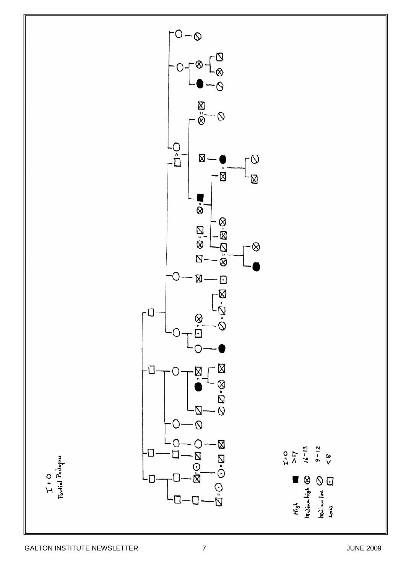